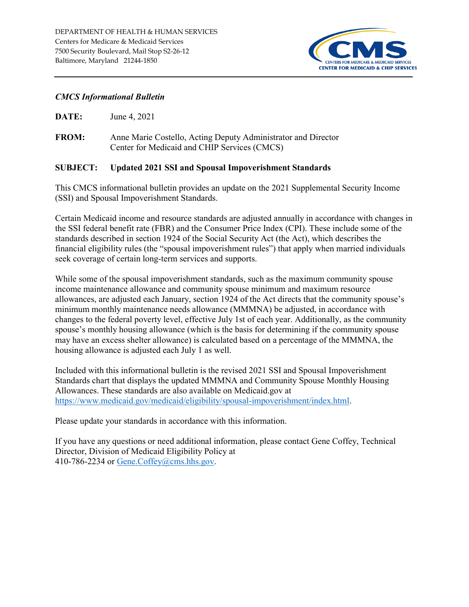

### *CMCS Informational Bulletin*

**FROM:** Anne Marie Costello, Acting Deputy Administrator and Director Center for Medicaid and CHIP Services (CMCS)

#### **SUBJECT: Updated 2021 SSI and Spousal Impoverishment Standards**

This CMCS informational bulletin provides an update on the 2021 Supplemental Security Income (SSI) and Spousal Impoverishment Standards.

Certain Medicaid income and resource standards are adjusted annually in accordance with changes in the SSI federal benefit rate (FBR) and the Consumer Price Index (CPI). These include some of the standards described in section 1924 of the Social Security Act (the Act), which describes the financial eligibility rules (the "spousal impoverishment rules") that apply when married individuals seek coverage of certain long-term services and supports.

While some of the spousal impoverishment standards, such as the maximum community spouse income maintenance allowance and community spouse minimum and maximum resource allowances, are adjusted each January, section 1924 of the Act directs that the community spouse's minimum monthly maintenance needs allowance (MMMNA) be adjusted, in accordance with changes to the federal poverty level, effective July 1st of each year. Additionally, as the community spouse's monthly housing allowance (which is the basis for determining if the community spouse may have an excess shelter allowance) is calculated based on a percentage of the MMMNA, the housing allowance is adjusted each July 1 as well.

Included with this informational bulletin is the revised 2021 SSI and Spousal Impoverishment Standards chart that displays the updated MMMNA and Community Spouse Monthly Housing Allowances. These standards are also available on Medicaid.gov at [https://www.medicaid.gov/medicaid/eligibility/spousal-impoverishment/index.html.](https://www.medicaid.gov/medicaid/eligibility/spousal-impoverishment/index.html)

Please update your standards in accordance with this information.

If you have any questions or need additional information, please contact Gene Coffey, Technical Director, Division of Medicaid Eligibility Policy at 410-786-2234 or Gene.Coffey@cms.hhs.gov.